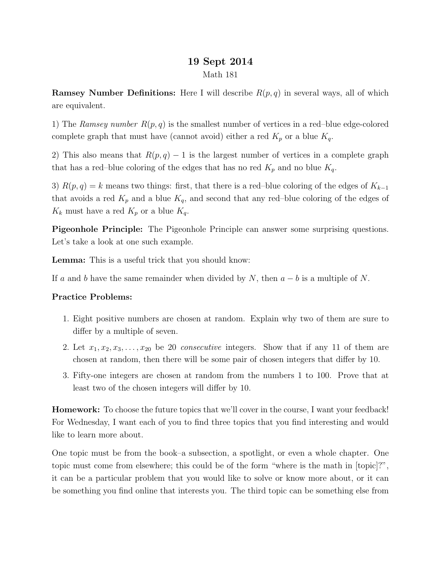## 19 Sept 2014 Math 181

**Ramsey Number Definitions:** Here I will describe  $R(p,q)$  in several ways, all of which are equivalent.

1) The Ramsey number  $R(p,q)$  is the smallest number of vertices in a red–blue edge-colored complete graph that must have (cannot avoid) either a red  $K_p$  or a blue  $K_q$ .

2) This also means that  $R(p, q) - 1$  is the largest number of vertices in a complete graph that has a red–blue coloring of the edges that has no red  $K_p$  and no blue  $K_q$ .

3)  $R(p,q) = k$  means two things: first, that there is a red–blue coloring of the edges of  $K_{k-1}$ that avoids a red  $K_p$  and a blue  $K_q$ , and second that any red–blue coloring of the edges of  $K_k$  must have a red  $K_p$  or a blue  $K_q$ .

Pigeonhole Principle: The Pigeonhole Principle can answer some surprising questions. Let's take a look at one such example.

Lemma: This is a useful trick that you should know:

If a and b have the same remainder when divided by N, then  $a - b$  is a multiple of N.

## Practice Problems:

- 1. Eight positive numbers are chosen at random. Explain why two of them are sure to differ by a multiple of seven.
- 2. Let  $x_1, x_2, x_3, \ldots, x_{20}$  be 20 *consecutive* integers. Show that if any 11 of them are chosen at random, then there will be some pair of chosen integers that differ by 10.
- 3. Fifty-one integers are chosen at random from the numbers 1 to 100. Prove that at least two of the chosen integers will differ by 10.

Homework: To choose the future topics that we'll cover in the course, I want your feedback! For Wednesday, I want each of you to find three topics that you find interesting and would like to learn more about.

One topic must be from the book–a subsection, a spotlight, or even a whole chapter. One topic must come from elsewhere; this could be of the form "where is the math in [topic]?", it can be a particular problem that you would like to solve or know more about, or it can be something you find online that interests you. The third topic can be something else from